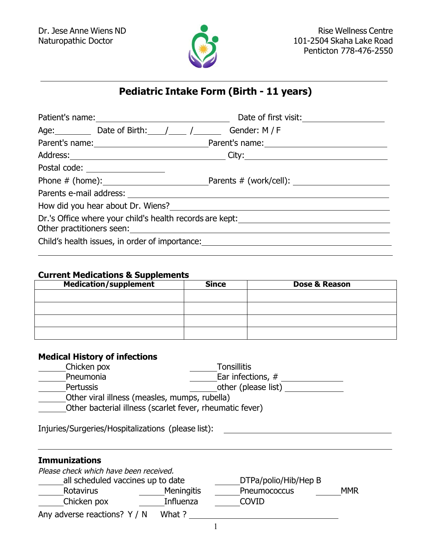

## **Pediatric Intake Form (Birth - 11 years)**

|                                                | Date of first visit: <u>_____________</u>                              |
|------------------------------------------------|------------------------------------------------------------------------|
| Age: Date of Birth: / / Gender: M/F            |                                                                        |
|                                                | Parent's name: Parent's name: Parent's name:                           |
|                                                |                                                                        |
| Postal code: _________________                 |                                                                        |
|                                                |                                                                        |
|                                                |                                                                        |
|                                                | How did you hear about Dr. Wiens?<br>How did you hear about Dr. Wiens? |
|                                                | Dr.'s Office where your child's health records are kept:               |
| Child's health issues, in order of importance: |                                                                        |
|                                                |                                                                        |

## **Current Medications & Supplements**

| <b>Medication/supplement</b> | <b>Since</b> | Dose & Reason |
|------------------------------|--------------|---------------|
|                              |              |               |
|                              |              |               |
|                              |              |               |
|                              |              |               |

## **Medical History of infections**

| Chicken pox                                   | <b>Tonsillitis</b>                                       |
|-----------------------------------------------|----------------------------------------------------------|
| Pneumonia                                     | Ear infections, #                                        |
| <b>Pertussis</b>                              | other (please list)                                      |
| Other viral illness (measles, mumps, rubella) |                                                          |
|                                               | Other bacterial illness (scarlet fever, rheumatic fever) |

Injuries/Surgeries/Hospitalizations (please list):

## **Immunizations**

<u> 1989 - Johann Barbara, martxa a</u>

| Please check which have been received. |                   |                      |            |
|----------------------------------------|-------------------|----------------------|------------|
| all scheduled vaccines up to date      |                   | DTPa/polio/Hib/Hep B |            |
| Rotavirus                              | <b>Meningitis</b> | Pneumococcus         | <b>MMR</b> |
| Chicken pox                            | Influenza         | <b>COVID</b>         |            |
| Any adverse reactions? Y / N           | What ?            |                      |            |